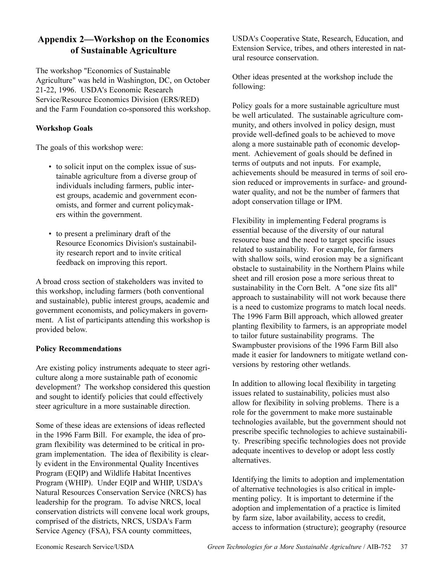## Appendix 2—Workshop on the Economics **of Sustainable Agriculture**

The workshop "Economics of Sustainable Agriculture" was held in Washington, DC, on October 21-22, 1996. USDA's Economic Research Service/Resource Economics Division (ERS/RED) and the Farm Foundation co-sponsored this workshop.

### **Workshop Goals**

The goals of this workshop were:

- to solicit input on the complex issue of sustainable agriculture from a diverse group of individuals including farmers, public interest groups, academic and government economists, and former and current policymakers within the government.
- to present a preliminary draft of the Resource Economics Division's sustainability research report and to invite critical feedback on improving this report.

A broad cross section of stakeholders was invited to this workshop, including farmers (both conventional and sustainable), public interest groups, academic and government economists, and policymakers in government. A list of participants attending this workshop is provided below.

## **Policy Recommendations**

Are existing policy instruments adequate to steer agriculture along a more sustainable path of economic development? The workshop considered this question and sought to identify policies that could effectively steer agriculture in a more sustainable direction.

Some of these ideas are extensions of ideas reflected in the 1996 Farm Bill. For example, the idea of program flexibility was determined to be critical in program implementation. The idea of flexibility is clearly evident in the Environmental Quality Incentives Program (EQIP) and Wildlife Habitat Incentives Program (WHIP). Under EQIP and WHIP, USDA's Natural Resources Conservation Service (NRCS) has leadership for the program. To advise NRCS, local conservation districts will convene local work groups, comprised of the districts, NRCS, USDA's Farm Service Agency (FSA), FSA county committees,

USDA's Cooperative State, Research, Education, and Extension Service, tribes, and others interested in natural resource conservation.

Other ideas presented at the workshop include the following:

Policy goals for a more sustainable agriculture must be well articulated. The sustainable agriculture community, and others involved in policy design, must provide well-defined goals to be achieved to move along a more sustainable path of economic development. Achievement of goals should be defined in terms of outputs and not inputs. For example, achievements should be measured in terms of soil erosion reduced or improvements in surface- and groundwater quality, and not be the number of farmers that adopt conservation tillage or IPM.

Flexibility in implementing Federal programs is essential because of the diversity of our natural resource base and the need to target specific issues related to sustainability. For example, for farmers with shallow soils, wind erosion may be a significant obstacle to sustainability in the Northern Plains while sheet and rill erosion pose a more serious threat to sustainability in the Corn Belt. A "one size fits all" approach to sustainability will not work because there is a need to customize programs to match local needs. The 1996 Farm Bill approach, which allowed greater planting flexibility to farmers, is an appropriate model to tailor future sustainability programs. The Swampbuster provisions of the 1996 Farm Bill also made it easier for landowners to mitigate wetland conversions by restoring other wetlands.

In addition to allowing local flexibility in targeting issues related to sustainability, policies must also allow for flexibility in solving problems. There is a role for the government to make more sustainable technologies available, but the government should not prescribe specific technologies to achieve sustainability. Prescribing specific technologies does not provide adequate incentives to develop or adopt less costly alternatives.

Identifying the limits to adoption and implementation of alternative technologies is also critical in implementing policy. It is important to determine if the adoption and implementation of a practice is limited by farm size, labor availability, access to credit, access to information (structure); geography (resource